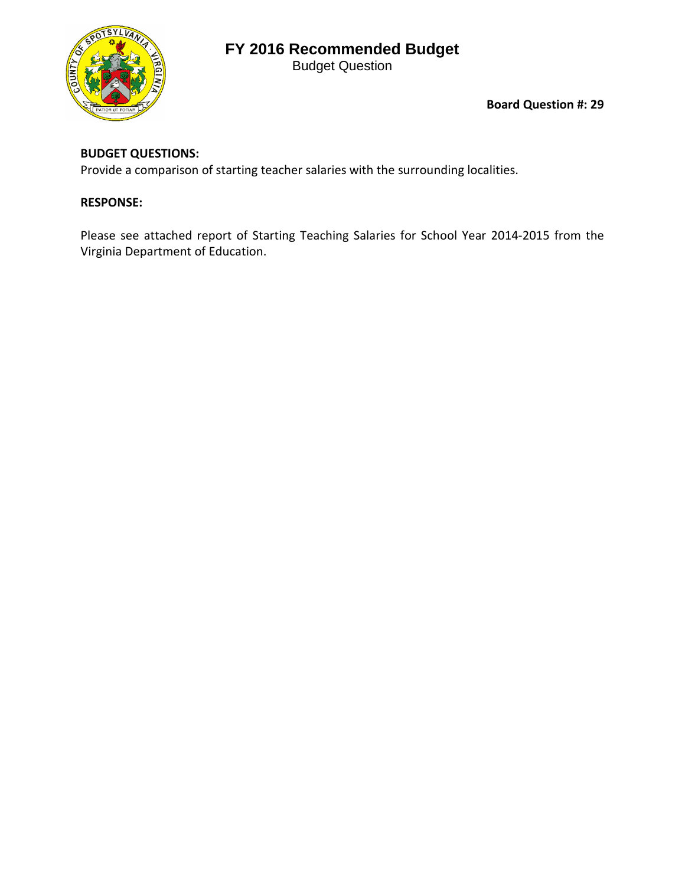## **FY 2016 Recommended Budget**





**Board Question #: 29**

## **BUDGET QUESTIONS:**

Provide a comparison of starting teacher salaries with the surrounding localities.

## **RESPONSE:**

Please see attached report of Starting Teaching Salaries for School Year 2014-2015 from the Virginia Department of Education.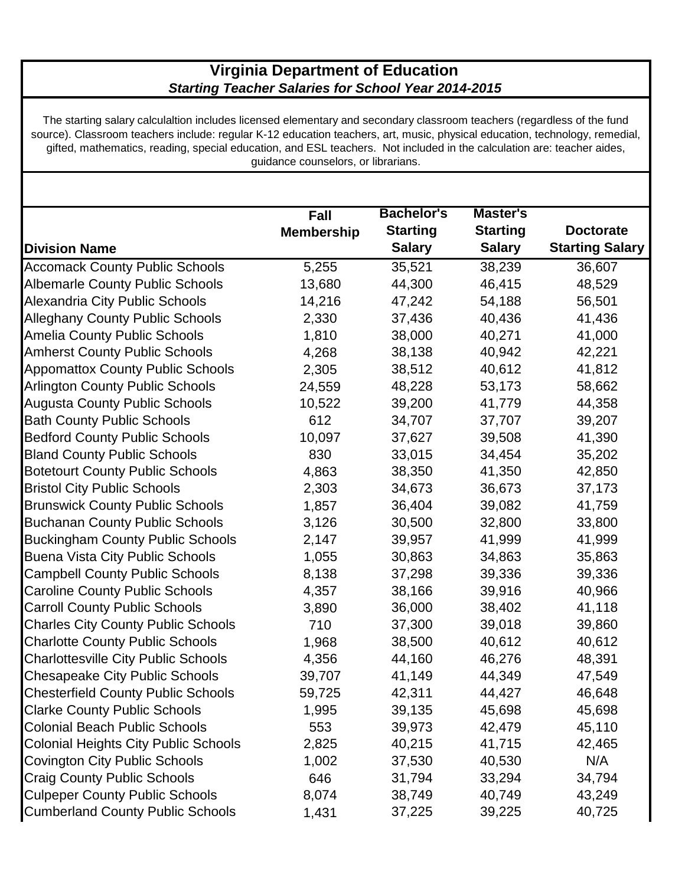## **Virginia Department of Education**  *Starting Teacher Salaries for School Year 2014-2015*

The starting salary calculaltion includes licensed elementary and secondary classroom teachers (regardless of the fund source). Classroom teachers include: regular K-12 education teachers, art, music, physical education, technology, remedial, gifted, mathematics, reading, special education, and ESL teachers. Not included in the calculation are: teacher aides, guidance counselors, or librarians.

|                                             | Fall              | <b>Bachelor's</b> | <b>Master's</b> |                        |
|---------------------------------------------|-------------------|-------------------|-----------------|------------------------|
|                                             | <b>Membership</b> | <b>Starting</b>   | <b>Starting</b> | <b>Doctorate</b>       |
| <b>Division Name</b>                        |                   | <b>Salary</b>     | <b>Salary</b>   | <b>Starting Salary</b> |
| <b>Accomack County Public Schools</b>       | 5,255             | 35,521            | 38,239          | 36,607                 |
| <b>Albemarle County Public Schools</b>      | 13,680            | 44,300            | 46,415          | 48,529                 |
| Alexandria City Public Schools              | 14,216            | 47,242            | 54,188          | 56,501                 |
| <b>Alleghany County Public Schools</b>      | 2,330             | 37,436            | 40,436          | 41,436                 |
| <b>Amelia County Public Schools</b>         | 1,810             | 38,000            | 40,271          | 41,000                 |
| <b>Amherst County Public Schools</b>        | 4,268             | 38,138            | 40,942          | 42,221                 |
| Appomattox County Public Schools            | 2,305             | 38,512            | 40,612          | 41,812                 |
| <b>Arlington County Public Schools</b>      | 24,559            | 48,228            | 53,173          | 58,662                 |
| <b>Augusta County Public Schools</b>        | 10,522            | 39,200            | 41,779          | 44,358                 |
| <b>Bath County Public Schools</b>           | 612               | 34,707            | 37,707          | 39,207                 |
| <b>Bedford County Public Schools</b>        | 10,097            | 37,627            | 39,508          | 41,390                 |
| <b>Bland County Public Schools</b>          | 830               | 33,015            | 34,454          | 35,202                 |
| <b>Botetourt County Public Schools</b>      | 4,863             | 38,350            | 41,350          | 42,850                 |
| <b>Bristol City Public Schools</b>          | 2,303             | 34,673            | 36,673          | 37,173                 |
| <b>Brunswick County Public Schools</b>      | 1,857             | 36,404            | 39,082          | 41,759                 |
| <b>Buchanan County Public Schools</b>       | 3,126             | 30,500            | 32,800          | 33,800                 |
| <b>Buckingham County Public Schools</b>     | 2,147             | 39,957            | 41,999          | 41,999                 |
| <b>Buena Vista City Public Schools</b>      | 1,055             | 30,863            | 34,863          | 35,863                 |
| <b>Campbell County Public Schools</b>       | 8,138             | 37,298            | 39,336          | 39,336                 |
| <b>Caroline County Public Schools</b>       | 4,357             | 38,166            | 39,916          | 40,966                 |
| <b>Carroll County Public Schools</b>        | 3,890             | 36,000            | 38,402          | 41,118                 |
| <b>Charles City County Public Schools</b>   | 710               | 37,300            | 39,018          | 39,860                 |
| <b>Charlotte County Public Schools</b>      | 1,968             | 38,500            | 40,612          | 40,612                 |
| <b>Charlottesville City Public Schools</b>  | 4,356             | 44,160            | 46,276          | 48,391                 |
| <b>Chesapeake City Public Schools</b>       | 39,707            | 41,149            | 44,349          | 47,549                 |
| <b>Chesterfield County Public Schools</b>   | 59,725            | 42,311            | 44,427          | 46,648                 |
| <b>Clarke County Public Schools</b>         | 1,995             | 39,135            | 45,698          | 45,698                 |
| <b>Colonial Beach Public Schools</b>        | 553               | 39,973            | 42,479          | 45,110                 |
| <b>Colonial Heights City Public Schools</b> | 2,825             | 40,215            | 41,715          | 42,465                 |
| <b>Covington City Public Schools</b>        | 1,002             | 37,530            | 40,530          | N/A                    |
| <b>Craig County Public Schools</b>          | 646               | 31,794            | 33,294          | 34,794                 |
| <b>Culpeper County Public Schools</b>       | 8,074             | 38,749            | 40,749          | 43,249                 |
| <b>Cumberland County Public Schools</b>     | 1,431             | 37,225            | 39,225          | 40,725                 |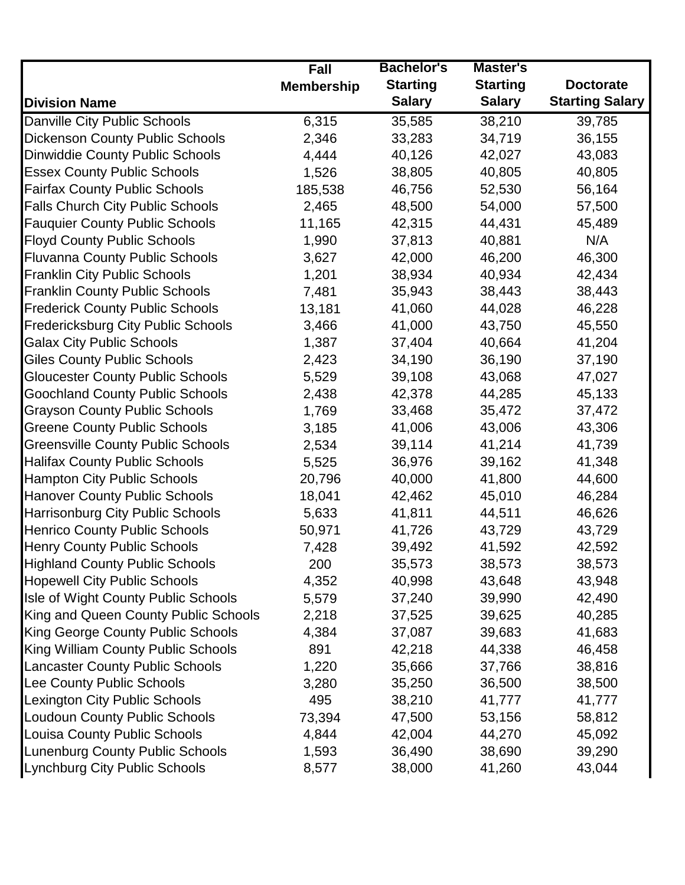|                                          | <b>Fall</b>       | <b>Bachelor's</b> | Master's        |                        |
|------------------------------------------|-------------------|-------------------|-----------------|------------------------|
|                                          | <b>Membership</b> | <b>Starting</b>   | <b>Starting</b> | <b>Doctorate</b>       |
| <b>Division Name</b>                     |                   | <b>Salary</b>     | <b>Salary</b>   | <b>Starting Salary</b> |
| Danville City Public Schools             | 6,315             | 35,585            | 38,210          | 39,785                 |
| <b>Dickenson County Public Schools</b>   | 2,346             | 33,283            | 34,719          | 36,155                 |
| <b>Dinwiddie County Public Schools</b>   | 4,444             | 40,126            | 42,027          | 43,083                 |
| <b>Essex County Public Schools</b>       | 1,526             | 38,805            | 40,805          | 40,805                 |
| <b>Fairfax County Public Schools</b>     | 185,538           | 46,756            | 52,530          | 56,164                 |
| <b>Falls Church City Public Schools</b>  | 2,465             | 48,500            | 54,000          | 57,500                 |
| <b>Fauquier County Public Schools</b>    | 11,165            | 42,315            | 44,431          | 45,489                 |
| <b>Floyd County Public Schools</b>       | 1,990             | 37,813            | 40,881          | N/A                    |
| <b>Fluvanna County Public Schools</b>    | 3,627             | 42,000            | 46,200          | 46,300                 |
| <b>Franklin City Public Schools</b>      | 1,201             | 38,934            | 40,934          | 42,434                 |
| <b>Franklin County Public Schools</b>    | 7,481             | 35,943            | 38,443          | 38,443                 |
| <b>Frederick County Public Schools</b>   | 13,181            | 41,060            | 44,028          | 46,228                 |
| Fredericksburg City Public Schools       | 3,466             | 41,000            | 43,750          | 45,550                 |
| <b>Galax City Public Schools</b>         | 1,387             | 37,404            | 40,664          | 41,204                 |
| <b>Giles County Public Schools</b>       | 2,423             | 34,190            | 36,190          | 37,190                 |
| <b>Gloucester County Public Schools</b>  | 5,529             | 39,108            | 43,068          | 47,027                 |
| <b>Goochland County Public Schools</b>   | 2,438             | 42,378            | 44,285          | 45,133                 |
| <b>Grayson County Public Schools</b>     | 1,769             | 33,468            | 35,472          | 37,472                 |
| <b>Greene County Public Schools</b>      | 3,185             | 41,006            | 43,006          | 43,306                 |
| <b>Greensville County Public Schools</b> | 2,534             | 39,114            | 41,214          | 41,739                 |
| <b>Halifax County Public Schools</b>     | 5,525             | 36,976            | 39,162          | 41,348                 |
| <b>Hampton City Public Schools</b>       | 20,796            | 40,000            | 41,800          | 44,600                 |
| <b>Hanover County Public Schools</b>     | 18,041            | 42,462            | 45,010          | 46,284                 |
| <b>Harrisonburg City Public Schools</b>  | 5,633             | 41,811            | 44,511          | 46,626                 |
| <b>Henrico County Public Schools</b>     | 50,971            | 41,726            | 43,729          | 43,729                 |
| <b>Henry County Public Schools</b>       | 7,428             | 39,492            | 41,592          | 42,592                 |
| <b>Highland County Public Schools</b>    | 200               | 35,573            | 38,573          | 38,573                 |
| <b>Hopewell City Public Schools</b>      | 4,352             | 40,998            | 43,648          | 43,948                 |
| Isle of Wight County Public Schools      | 5,579             | 37,240            | 39,990          | 42,490                 |
| King and Queen County Public Schools     | 2,218             | 37,525            | 39,625          | 40,285                 |
| <b>King George County Public Schools</b> | 4,384             | 37,087            | 39,683          | 41,683                 |
| King William County Public Schools       | 891               | 42,218            | 44,338          | 46,458                 |
| <b>Lancaster County Public Schools</b>   | 1,220             | 35,666            | 37,766          | 38,816                 |
| Lee County Public Schools                | 3,280             | 35,250            | 36,500          | 38,500                 |
| <b>Lexington City Public Schools</b>     | 495               | 38,210            | 41,777          | 41,777                 |
| <b>Loudoun County Public Schools</b>     | 73,394            | 47,500            | 53,156          | 58,812                 |
| <b>Louisa County Public Schools</b>      | 4,844             | 42,004            | 44,270          | 45,092                 |
| <b>Lunenburg County Public Schools</b>   | 1,593             | 36,490            | 38,690          | 39,290                 |
| <b>Lynchburg City Public Schools</b>     | 8,577             | 38,000            | 41,260          | 43,044                 |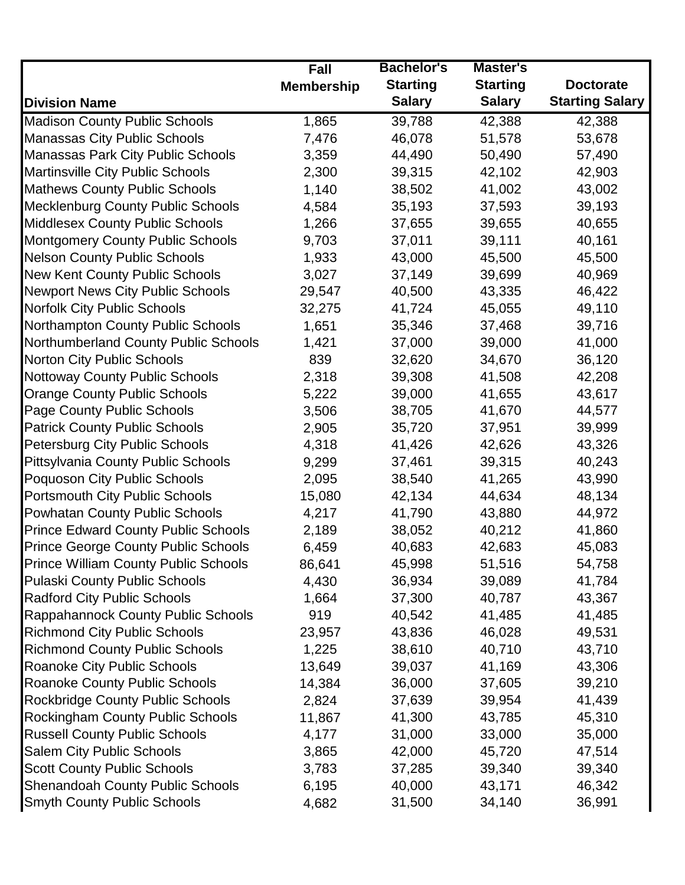|                                            | <b>Fall</b>       | <b>Bachelor's</b> | Master's        |                        |
|--------------------------------------------|-------------------|-------------------|-----------------|------------------------|
|                                            | <b>Membership</b> | <b>Starting</b>   | <b>Starting</b> | <b>Doctorate</b>       |
| <b>Division Name</b>                       |                   | <b>Salary</b>     | <b>Salary</b>   | <b>Starting Salary</b> |
| <b>Madison County Public Schools</b>       | 1,865             | 39,788            | 42,388          | 42,388                 |
| Manassas City Public Schools               | 7,476             | 46,078            | 51,578          | 53,678                 |
| Manassas Park City Public Schools          | 3,359             | 44,490            | 50,490          | 57,490                 |
| <b>Martinsville City Public Schools</b>    | 2,300             | 39,315            | 42,102          | 42,903                 |
| <b>Mathews County Public Schools</b>       | 1,140             | 38,502            | 41,002          | 43,002                 |
| <b>Mecklenburg County Public Schools</b>   | 4,584             | 35,193            | 37,593          | 39,193                 |
| <b>Middlesex County Public Schools</b>     | 1,266             | 37,655            | 39,655          | 40,655                 |
| <b>Montgomery County Public Schools</b>    | 9,703             | 37,011            | 39,111          | 40,161                 |
| <b>Nelson County Public Schools</b>        | 1,933             | 43,000            | 45,500          | 45,500                 |
| <b>New Kent County Public Schools</b>      | 3,027             | 37,149            | 39,699          | 40,969                 |
| <b>Newport News City Public Schools</b>    | 29,547            | 40,500            | 43,335          | 46,422                 |
| <b>Norfolk City Public Schools</b>         | 32,275            | 41,724            | 45,055          | 49,110                 |
| Northampton County Public Schools          | 1,651             | 35,346            | 37,468          | 39,716                 |
| Northumberland County Public Schools       | 1,421             | 37,000            | 39,000          | 41,000                 |
| <b>Norton City Public Schools</b>          | 839               | 32,620            | 34,670          | 36,120                 |
| <b>Nottoway County Public Schools</b>      | 2,318             | 39,308            | 41,508          | 42,208                 |
| <b>Orange County Public Schools</b>        | 5,222             | 39,000            | 41,655          | 43,617                 |
| <b>Page County Public Schools</b>          | 3,506             | 38,705            | 41,670          | 44,577                 |
| <b>Patrick County Public Schools</b>       | 2,905             | 35,720            | 37,951          | 39,999                 |
| Petersburg City Public Schools             | 4,318             | 41,426            | 42,626          | 43,326                 |
| <b>Pittsylvania County Public Schools</b>  | 9,299             | 37,461            | 39,315          | 40,243                 |
| Poquoson City Public Schools               | 2,095             | 38,540            | 41,265          | 43,990                 |
| <b>Portsmouth City Public Schools</b>      | 15,080            | 42,134            | 44,634          | 48,134                 |
| <b>Powhatan County Public Schools</b>      | 4,217             | 41,790            | 43,880          | 44,972                 |
| <b>Prince Edward County Public Schools</b> | 2,189             | 38,052            | 40,212          | 41,860                 |
| <b>Prince George County Public Schools</b> | 6,459             | 40,683            | 42,683          | 45,083                 |
| Prince William County Public Schools       | 86,641            | 45,998            | 51,516          | 54,758                 |
| <b>Pulaski County Public Schools</b>       | 4,430             | 36,934            | 39,089          | 41,784                 |
| <b>Radford City Public Schools</b>         | 1,664             | 37,300            | 40,787          | 43,367                 |
| Rappahannock County Public Schools         | 919               | 40,542            | 41,485          | 41,485                 |
| <b>Richmond City Public Schools</b>        | 23,957            | 43,836            | 46,028          | 49,531                 |
| <b>Richmond County Public Schools</b>      | 1,225             | 38,610            | 40,710          | 43,710                 |
| Roanoke City Public Schools                | 13,649            | 39,037            | 41,169          | 43,306                 |
| <b>Roanoke County Public Schools</b>       | 14,384            | 36,000            | 37,605          | 39,210                 |
| <b>Rockbridge County Public Schools</b>    | 2,824             | 37,639            | 39,954          | 41,439                 |
| <b>Rockingham County Public Schools</b>    | 11,867            | 41,300            | 43,785          | 45,310                 |
| <b>Russell County Public Schools</b>       | 4,177             | 31,000            | 33,000          | 35,000                 |
| <b>Salem City Public Schools</b>           | 3,865             | 42,000            | 45,720          | 47,514                 |
| <b>Scott County Public Schools</b>         | 3,783             | 37,285            | 39,340          | 39,340                 |
| <b>Shenandoah County Public Schools</b>    | 6,195             | 40,000            | 43,171          | 46,342                 |
| <b>Smyth County Public Schools</b>         | 4,682             | 31,500            | 34,140          | 36,991                 |